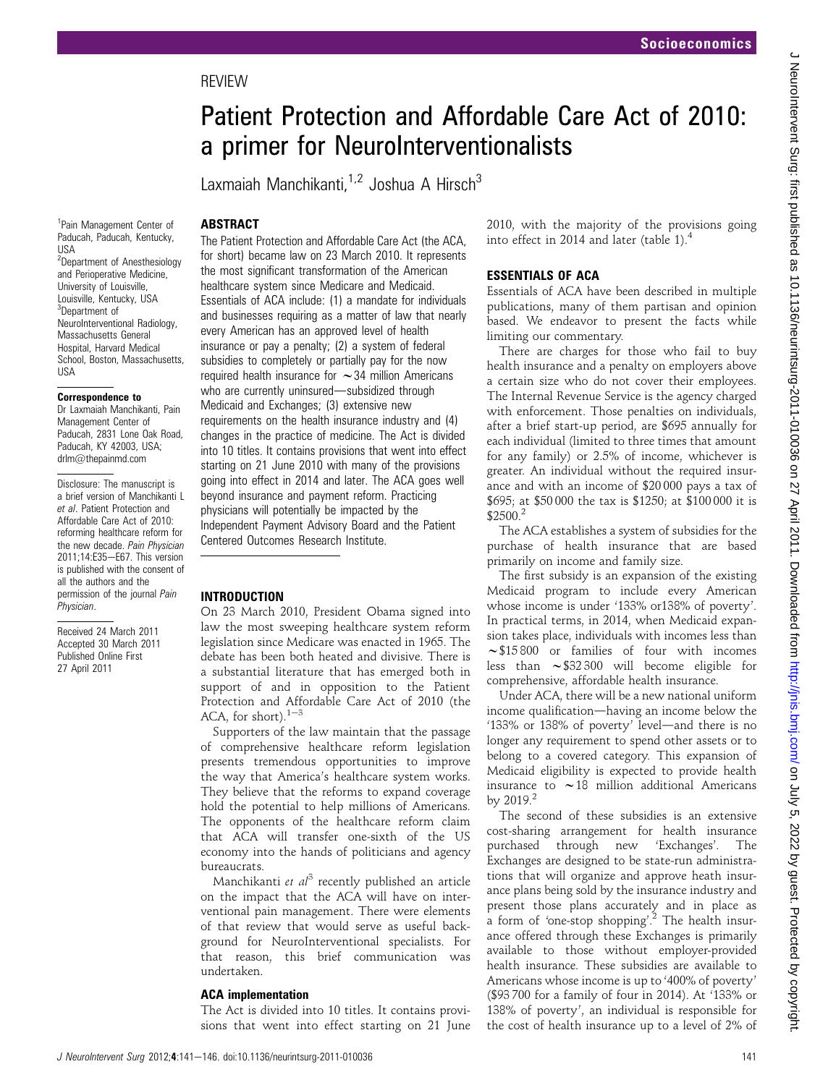# Patient Protection and Affordable Care Act of 2010: a primer for NeuroInterventionalists

Laxmaiah Manchikanti, <sup>1,2</sup> Joshua A Hirsch<sup>3</sup>

# **ABSTRACT**

<sup>1</sup>Pain Management Center of Paducah, Paducah, Kentucky, USA <sup>2</sup>Department of Anesthesiology and Perioperative Medicine, University of Louisville, Louisville, Kentucky, USA 3 Department of NeuroInterventional Radiology, Massachusetts General Hospital, Harvard Medical School, Boston, Massachusetts, USA

#### Correspondence to

Dr Laxmaiah Manchikanti, Pain Management Center of Paducah, 2831 Lone Oak Road, Paducah, KY 42003, USA; drlm@thepainmd.com

Disclosure: The manuscript is a brief version of Manchikanti L et al. Patient Protection and Affordable Care Act of 2010: reforming healthcare reform for the new decade. Pain Physician 2011:14:E35-E67. This version is published with the consent of all the authors and the permission of the journal Pain Physician.

Received 24 March 2011 Accepted 30 March 2011 Published Online First 27 April 2011

The Patient Protection and Affordable Care Act (the ACA, for short) became law on 23 March 2010. It represents the most significant transformation of the American healthcare system since Medicare and Medicaid. Essentials of ACA include: (1) a mandate for individuals and businesses requiring as a matter of law that nearly every American has an approved level of health insurance or pay a penalty; (2) a system of federal subsidies to completely or partially pay for the now required health insurance for  $\sim$  34 million Americans who are currently uninsured-subsidized through Medicaid and Exchanges; (3) extensive new requirements on the health insurance industry and (4) changes in the practice of medicine. The Act is divided into 10 titles. It contains provisions that went into effect starting on 21 June 2010 with many of the provisions going into effect in 2014 and later. The ACA goes well beyond insurance and payment reform. Practicing physicians will potentially be impacted by the Independent Payment Advisory Board and the Patient Centered Outcomes Research Institute.

## INTRODUCTION

On 23 March 2010, President Obama signed into law the most sweeping healthcare system reform legislation since Medicare was enacted in 1965. The debate has been both heated and divisive. There is a substantial literature that has emerged both in support of and in opposition to the Patient Protection and Affordable Care Act of 2010 (the ACA, for short). $1-3$ 

Supporters of the law maintain that the passage of comprehensive healthcare reform legislation presents tremendous opportunities to improve the way that America's healthcare system works. They believe that the reforms to expand coverage hold the potential to help millions of Americans. The opponents of the healthcare reform claim that ACA will transfer one-sixth of the US economy into the hands of politicians and agency bureaucrats.

Manchikanti et  $al^3$  recently published an article on the impact that the ACA will have on interventional pain management. There were elements of that review that would serve as useful background for NeuroInterventional specialists. For that reason, this brief communication was undertaken.

## ACA implementation

The Act is divided into 10 titles. It contains provisions that went into effect starting on 21 June 2010, with the majority of the provisions going into effect in 2014 and later (table 1).<sup>4</sup>

## ESSENTIALS OF ACA

Essentials of ACA have been described in multiple publications, many of them partisan and opinion based. We endeavor to present the facts while limiting our commentary.

There are charges for those who fail to buy health insurance and a penalty on employers above a certain size who do not cover their employees. The Internal Revenue Service is the agency charged with enforcement. Those penalties on individuals, after a brief start-up period, are \$695 annually for each individual (limited to three times that amount for any family) or 2.5% of income, whichever is greater. An individual without the required insurance and with an income of \$20 000 pays a tax of \$695; at \$50 000 the tax is \$1250; at \$100 000 it is  $$2500.<sup>2</sup>$ 

The ACA establishes a system of subsidies for the purchase of health insurance that are based primarily on income and family size.

The first subsidy is an expansion of the existing Medicaid program to include every American whose income is under '133% or138% of poverty'. In practical terms, in 2014, when Medicaid expansion takes place, individuals with incomes less than  $\sim$ \$15 800 or families of four with incomes less than  $\sim$  \$32 300 will become eligible for comprehensive, affordable health insurance.

Under ACA, there will be a new national uniform income qualification-having an income below the '133% or 138% of poverty' level-and there is no longer any requirement to spend other assets or to belong to a covered category. This expansion of Medicaid eligibility is expected to provide health insurance to  $\sim$  18 million additional Americans by  $2019.<sup>2</sup>$ 

The second of these subsidies is an extensive cost-sharing arrangement for health insurance purchased through new 'Exchanges'. The Exchanges are designed to be state-run administrations that will organize and approve heath insurance plans being sold by the insurance industry and present those plans accurately and in place as a form of 'one-stop shopping'.<sup>2</sup> The health insurance offered through these Exchanges is primarily available to those without employer-provided health insurance. These subsidies are available to Americans whose income is up to '400% of poverty' (\$93 700 for a family of four in 2014). At '133% or 138% of poverty', an individual is responsible for the cost of health insurance up to a level of 2% of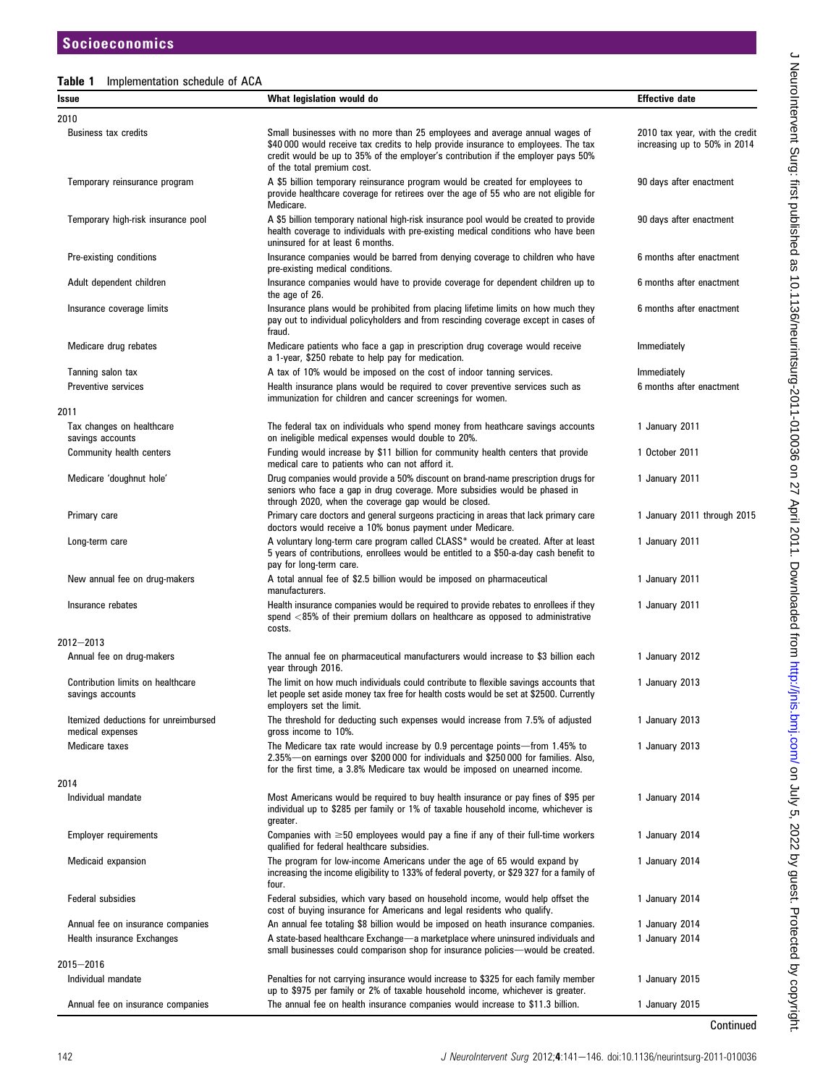# Table 1 Implementation schedule of ACA

| Issue                                                    | What legislation would do                                                                                                                                                                                                                                                            | <b>Effective date</b>                                          |
|----------------------------------------------------------|--------------------------------------------------------------------------------------------------------------------------------------------------------------------------------------------------------------------------------------------------------------------------------------|----------------------------------------------------------------|
| 2010                                                     |                                                                                                                                                                                                                                                                                      |                                                                |
| <b>Business tax credits</b>                              | Small businesses with no more than 25 employees and average annual wages of<br>\$40 000 would receive tax credits to help provide insurance to employees. The tax<br>credit would be up to 35% of the employer's contribution if the employer pays 50%<br>of the total premium cost. | 2010 tax year, with the credit<br>increasing up to 50% in 2014 |
| Temporary reinsurance program                            | A \$5 billion temporary reinsurance program would be created for employees to<br>provide healthcare coverage for retirees over the age of 55 who are not eligible for<br>Medicare.                                                                                                   | 90 days after enactment                                        |
| Temporary high-risk insurance pool                       | A \$5 billion temporary national high-risk insurance pool would be created to provide<br>health coverage to individuals with pre-existing medical conditions who have been<br>uninsured for at least 6 months.                                                                       | 90 days after enactment                                        |
| Pre-existing conditions                                  | Insurance companies would be barred from denying coverage to children who have<br>pre-existing medical conditions.                                                                                                                                                                   | 6 months after enactment                                       |
| Adult dependent children                                 | Insurance companies would have to provide coverage for dependent children up to<br>the age of 26.                                                                                                                                                                                    | 6 months after enactment                                       |
| Insurance coverage limits                                | Insurance plans would be prohibited from placing lifetime limits on how much they<br>pay out to individual policyholders and from rescinding coverage except in cases of<br>fraud.                                                                                                   | 6 months after enactment                                       |
| Medicare drug rebates                                    | Medicare patients who face a gap in prescription drug coverage would receive<br>a 1-year, \$250 rebate to help pay for medication.                                                                                                                                                   | Immediately                                                    |
| Tanning salon tax                                        | A tax of 10% would be imposed on the cost of indoor tanning services.                                                                                                                                                                                                                | Immediately                                                    |
| <b>Preventive services</b>                               | Health insurance plans would be required to cover preventive services such as<br>immunization for children and cancer screenings for women.                                                                                                                                          | 6 months after enactment                                       |
| 2011                                                     |                                                                                                                                                                                                                                                                                      |                                                                |
| Tax changes on healthcare<br>savings accounts            | The federal tax on individuals who spend money from heathcare savings accounts<br>on ineligible medical expenses would double to 20%.                                                                                                                                                | 1 January 2011                                                 |
| Community health centers                                 | Funding would increase by \$11 billion for community health centers that provide<br>medical care to patients who can not afford it.                                                                                                                                                  | 1 October 2011                                                 |
| Medicare 'doughnut hole'                                 | Drug companies would provide a 50% discount on brand-name prescription drugs for<br>seniors who face a gap in drug coverage. More subsidies would be phased in<br>through 2020, when the coverage gap would be closed.                                                               | 1 January 2011                                                 |
| Primary care                                             | Primary care doctors and general surgeons practicing in areas that lack primary care<br>doctors would receive a 10% bonus payment under Medicare.                                                                                                                                    | 1 January 2011 through 2015                                    |
| Long-term care                                           | A voluntary long-term care program called CLASS* would be created. After at least<br>5 years of contributions, enrollees would be entitled to a \$50-a-day cash benefit to<br>pay for long-term care.                                                                                | 1 January 2011                                                 |
| New annual fee on drug-makers                            | A total annual fee of \$2.5 billion would be imposed on pharmaceutical<br>manufacturers.                                                                                                                                                                                             | 1 January 2011                                                 |
| Insurance rebates                                        | Health insurance companies would be required to provide rebates to enrollees if they<br>spend <85% of their premium dollars on healthcare as opposed to administrative<br>costs.                                                                                                     | 1 January 2011                                                 |
| $2012 - 2013$                                            |                                                                                                                                                                                                                                                                                      |                                                                |
| Annual fee on drug-makers                                | The annual fee on pharmaceutical manufacturers would increase to \$3 billion each<br>year through 2016.                                                                                                                                                                              | 1 January 2012                                                 |
| Contribution limits on healthcare<br>savings accounts    | The limit on how much individuals could contribute to flexible savings accounts that<br>let people set aside money tax free for health costs would be set at \$2500. Currently<br>employers set the limit.                                                                           | 1 January 2013                                                 |
| Itemized deductions for unreimbursed<br>medical expenses | The threshold for deducting such expenses would increase from 7.5% of adjusted<br>gross income to 10%.                                                                                                                                                                               | 1 January 2013                                                 |
| Medicare taxes                                           | The Medicare tax rate would increase by 0.9 percentage points—from 1.45% to<br>2.35%-on earnings over \$200 000 for individuals and \$250 000 for families. Also,<br>for the first time, a 3.8% Medicare tax would be imposed on unearned income.                                    | 1 January 2013                                                 |
| 2014                                                     |                                                                                                                                                                                                                                                                                      |                                                                |
| Individual mandate                                       | Most Americans would be required to buy health insurance or pay fines of \$95 per<br>individual up to \$285 per family or 1% of taxable household income, whichever is<br>greater.                                                                                                   | 1 January 2014                                                 |
| <b>Employer requirements</b>                             | Companies with $\geq 50$ employees would pay a fine if any of their full-time workers<br>qualified for federal healthcare subsidies.                                                                                                                                                 | 1 January 2014                                                 |
| Medicaid expansion                                       | The program for low-income Americans under the age of 65 would expand by<br>increasing the income eligibility to 133% of federal poverty, or \$29 327 for a family of<br>four.                                                                                                       | 1 January 2014                                                 |
| Federal subsidies                                        | Federal subsidies, which vary based on household income, would help offset the<br>cost of buying insurance for Americans and legal residents who qualify.                                                                                                                            | 1 January 2014                                                 |
| Annual fee on insurance companies                        | An annual fee totaling \$8 billion would be imposed on heath insurance companies.                                                                                                                                                                                                    | 1 January 2014                                                 |
| Health insurance Exchanges                               | A state-based healthcare Exchange—a marketplace where uninsured individuals and<br>small businesses could comparison shop for insurance policies—would be created.                                                                                                                   | 1 January 2014                                                 |
| 2015-2016                                                |                                                                                                                                                                                                                                                                                      |                                                                |
| Individual mandate                                       | Penalties for not carrying insurance would increase to \$325 for each family member<br>up to \$975 per family or 2% of taxable household income, whichever is greater.                                                                                                               | 1 January 2015                                                 |
| Annual fee on insurance companies                        | The annual fee on health insurance companies would increase to \$11.3 billion.                                                                                                                                                                                                       | 1 January 2015                                                 |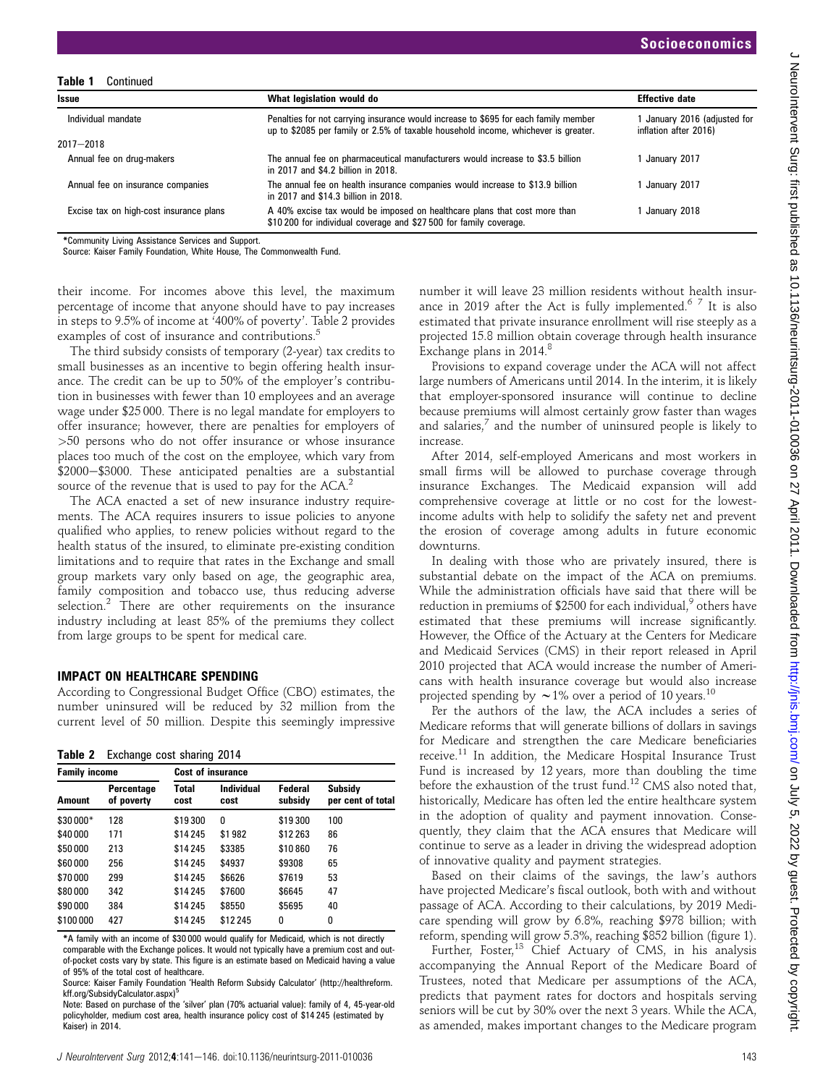| Table 1<br>Continued                    |                                                                                                                                                                           |                                                     |
|-----------------------------------------|---------------------------------------------------------------------------------------------------------------------------------------------------------------------------|-----------------------------------------------------|
| <b>Issue</b>                            | What legislation would do                                                                                                                                                 | <b>Effective date</b>                               |
| Individual mandate                      | Penalties for not carrying insurance would increase to \$695 for each family member<br>up to \$2085 per family or 2.5% of taxable household income, whichever is greater. | January 2016 (adjusted for<br>inflation after 2016) |
| $2017 - 2018$                           |                                                                                                                                                                           |                                                     |
| Annual fee on drug-makers               | The annual fee on pharmaceutical manufacturers would increase to \$3.5 billion<br>in 2017 and \$4.2 billion in 2018.                                                      | January 2017                                        |
| Annual fee on insurance companies       | The annual fee on health insurance companies would increase to \$13.9 billion<br>in 2017 and \$14.3 billion in 2018.                                                      | January 2017                                        |
| Excise tax on high-cost insurance plans | A 40% excise tax would be imposed on healthcare plans that cost more than<br>\$10,200 for individual coverage and \$27,500 for family coverage.                           | January 2018                                        |

\*Community Living Assistance Services and Support.

Source: Kaiser Family Foundation, White House, The Commonwealth Fund.

their income. For incomes above this level, the maximum percentage of income that anyone should have to pay increases in steps to 9.5% of income at '400% of poverty'. Table 2 provides examples of cost of insurance and contributions.<sup>5</sup>

The third subsidy consists of temporary (2-year) tax credits to small businesses as an incentive to begin offering health insurance. The credit can be up to 50% of the employer's contribution in businesses with fewer than 10 employees and an average wage under \$25 000. There is no legal mandate for employers to offer insurance; however, there are penalties for employers of >50 persons who do not offer insurance or whose insurance places too much of the cost on the employee, which vary from \$2000-\$3000. These anticipated penalties are a substantial source of the revenue that is used to pay for the ACA.<sup>2</sup>

The ACA enacted a set of new insurance industry requirements. The ACA requires insurers to issue policies to anyone qualified who applies, to renew policies without regard to the health status of the insured, to eliminate pre-existing condition limitations and to require that rates in the Exchange and small group markets vary only based on age, the geographic area, family composition and tobacco use, thus reducing adverse selection.<sup>2</sup> There are other requirements on the insurance industry including at least 85% of the premiums they collect from large groups to be spent for medical care.

#### IMPACT ON HEALTHCARE SPENDING

According to Congressional Budget Office (CBO) estimates, the number uninsured will be reduced by 32 million from the current level of 50 million. Despite this seemingly impressive

Table 2 Exchange cost sharing 2014

| <b>Family income</b> |                          | <b>Cost of insurance</b> |                    |                    |                              |  |
|----------------------|--------------------------|--------------------------|--------------------|--------------------|------------------------------|--|
| Amount               | Percentage<br>of poverty | Total<br>cost            | Individual<br>cost | Federal<br>subsidy | Subsidy<br>per cent of total |  |
| \$30 000*            | 128                      | \$19300                  | 0                  | \$19300            | 100                          |  |
| \$40 000             | 171                      | \$14 245                 | \$1982             | \$12 263           | 86                           |  |
| \$50 000             | 213                      | \$14 245                 | \$3385             | \$10860            | 76                           |  |
| \$60 000             | 256                      | \$14 245                 | \$4937             | \$9308             | 65                           |  |
| \$70 000             | 299                      | \$14 245                 | \$6626             | \$7619             | 53                           |  |
| \$80 000             | 342                      | \$14 245                 | \$7600             | \$6645             | 47                           |  |
| \$90 000             | 384                      | \$14 245                 | \$8550             | \$5695             | 40                           |  |
| \$100 000            | 427                      | \$14 245                 | \$12 245           | 0                  | 0                            |  |

\*A family with an income of \$30 000 would qualify for Medicaid, which is not directly comparable with the Exchange polices. It would not typically have a premium cost and outof-pocket costs vary by state. This figure is an estimate based on Medicaid having a value of 95% of the total cost of healthcare.

Source: Kaiser Family Foundation 'Health Reform Subsidy Calculator' (http://healthreform. kff.org/SubsidyCalculator.aspx)<sup>5</sup>

Note: Based on purchase of the 'silver' plan (70% actuarial value): family of 4, 45-year-old policyholder, medium cost area, health insurance policy cost of \$14 245 (estimated by Kaiser) in 2014.

number it will leave 23 million residents without health insurance in 2019 after the Act is fully implemented.<sup>6 7</sup> It is also estimated that private insurance enrollment will rise steeply as a projected 15.8 million obtain coverage through health insurance Exchange plans in  $2014$ .<sup>8</sup>

Provisions to expand coverage under the ACA will not affect large numbers of Americans until 2014. In the interim, it is likely that employer-sponsored insurance will continue to decline because premiums will almost certainly grow faster than wages and salaries, $<sup>7</sup>$  and the number of uninsured people is likely to</sup> increase.

After 2014, self-employed Americans and most workers in small firms will be allowed to purchase coverage through insurance Exchanges. The Medicaid expansion will add comprehensive coverage at little or no cost for the lowestincome adults with help to solidify the safety net and prevent the erosion of coverage among adults in future economic downturns.

In dealing with those who are privately insured, there is substantial debate on the impact of the ACA on premiums. While the administration officials have said that there will be reduction in premiums of \$2500 for each individual, $9$  others have estimated that these premiums will increase significantly. However, the Office of the Actuary at the Centers for Medicare and Medicaid Services (CMS) in their report released in April 2010 projected that ACA would increase the number of Americans with health insurance coverage but would also increase projected spending by  $\sim$  1% over a period of 10 years.<sup>10</sup>

Per the authors of the law, the ACA includes a series of Medicare reforms that will generate billions of dollars in savings for Medicare and strengthen the care Medicare beneficiaries receive.<sup>11</sup> In addition, the Medicare Hospital Insurance Trust Fund is increased by 12 years, more than doubling the time before the exhaustion of the trust fund.<sup>12</sup> CMS also noted that, historically, Medicare has often led the entire healthcare system in the adoption of quality and payment innovation. Consequently, they claim that the ACA ensures that Medicare will continue to serve as a leader in driving the widespread adoption of innovative quality and payment strategies.

Based on their claims of the savings, the law's authors have projected Medicare's fiscal outlook, both with and without passage of ACA. According to their calculations, by 2019 Medicare spending will grow by 6.8%, reaching \$978 billion; with reform, spending will grow 5.3%, reaching \$852 billion (figure 1).

Further, Foster,<sup>13</sup> Chief Actuary of CMS, in his analysis accompanying the Annual Report of the Medicare Board of Trustees, noted that Medicare per assumptions of the ACA, predicts that payment rates for doctors and hospitals serving seniors will be cut by 30% over the next 3 years. While the ACA, as amended, makes important changes to the Medicare program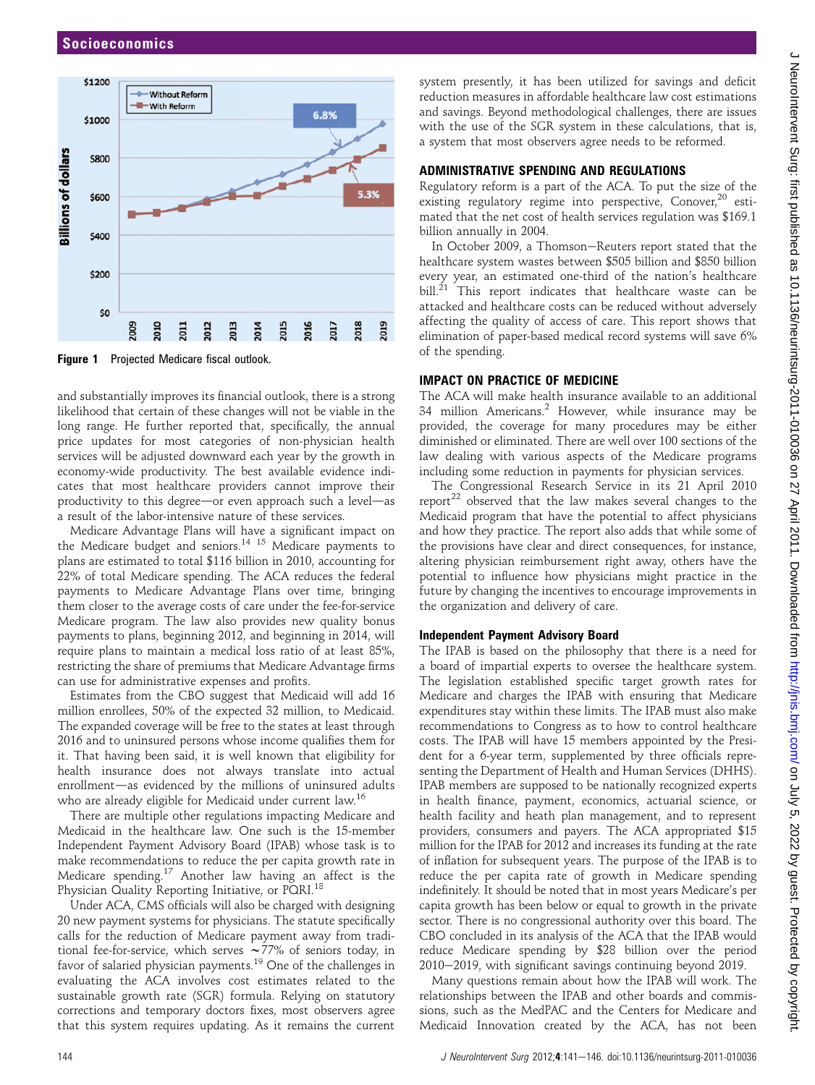

Figure 1 Projected Medicare fiscal outlook.

and substantially improves its financial outlook, there is a strong likelihood that certain of these changes will not be viable in the long range. He further reported that, specifically, the annual price updates for most categories of non-physician health services will be adjusted downward each year by the growth in economy-wide productivity. The best available evidence indicates that most healthcare providers cannot improve their productivity to this degree—or even approach such a level—as a result of the labor-intensive nature of these services.

Medicare Advantage Plans will have a significant impact on the Medicare budget and seniors.<sup>14</sup> <sup>15</sup> Medicare payments to plans are estimated to total \$116 billion in 2010, accounting for 22% of total Medicare spending. The ACA reduces the federal payments to Medicare Advantage Plans over time, bringing them closer to the average costs of care under the fee-for-service Medicare program. The law also provides new quality bonus payments to plans, beginning 2012, and beginning in 2014, will require plans to maintain a medical loss ratio of at least 85%, restricting the share of premiums that Medicare Advantage firms can use for administrative expenses and profits.

Estimates from the CBO suggest that Medicaid will add 16 million enrollees, 50% of the expected 32 million, to Medicaid. The expanded coverage will be free to the states at least through 2016 and to uninsured persons whose income qualifies them for it. That having been said, it is well known that eligibility for health insurance does not always translate into actual enrollment-as evidenced by the millions of uninsured adults who are already eligible for Medicaid under current law.<sup>16</sup>

There are multiple other regulations impacting Medicare and Medicaid in the healthcare law. One such is the 15-member Independent Payment Advisory Board (IPAB) whose task is to make recommendations to reduce the per capita growth rate in Medicare spending.<sup>17</sup> Another law having an affect is the Physician Quality Reporting Initiative, or PQRI.<sup>18</sup>

Under ACA, CMS officials will also be charged with designing 20 new payment systems for physicians. The statute specifically calls for the reduction of Medicare payment away from traditional fee-for-service, which serves  $\sim$  77% of seniors today, in favor of salaried physician payments.<sup>19</sup> One of the challenges in evaluating the ACA involves cost estimates related to the sustainable growth rate (SGR) formula. Relying on statutory corrections and temporary doctors fixes, most observers agree that this system requires updating. As it remains the current

system presently, it has been utilized for savings and deficit reduction measures in affordable healthcare law cost estimations and savings. Beyond methodological challenges, there are issues with the use of the SGR system in these calculations, that is, a system that most observers agree needs to be reformed.

## ADMINISTRATIVE SPENDING AND REGULATIONS

Regulatory reform is a part of the ACA. To put the size of the existing regulatory regime into perspective, Conover,<sup>20</sup> estimated that the net cost of health services regulation was \$169.1 billion annually in 2004.

In October 2009, a Thomson-Reuters report stated that the healthcare system wastes between \$505 billion and \$850 billion every year, an estimated one-third of the nation's healthcare  $\text{bill.}^{21}$  This report indicates that healthcare waste can be attacked and healthcare costs can be reduced without adversely affecting the quality of access of care. This report shows that elimination of paper-based medical record systems will save 6% of the spending.

## IMPACT ON PRACTICE OF MEDICINE

The ACA will make health insurance available to an additional 34 million Americans.<sup>2</sup> However, while insurance may be provided, the coverage for many procedures may be either diminished or eliminated. There are well over 100 sections of the law dealing with various aspects of the Medicare programs including some reduction in payments for physician services.

The Congressional Research Service in its 21 April 2010 report<sup>22</sup> observed that the law makes several changes to the Medicaid program that have the potential to affect physicians and how they practice. The report also adds that while some of the provisions have clear and direct consequences, for instance, altering physician reimbursement right away, others have the potential to influence how physicians might practice in the future by changing the incentives to encourage improvements in the organization and delivery of care.

#### Independent Payment Advisory Board

The IPAB is based on the philosophy that there is a need for a board of impartial experts to oversee the healthcare system. The legislation established specific target growth rates for Medicare and charges the IPAB with ensuring that Medicare expenditures stay within these limits. The IPAB must also make recommendations to Congress as to how to control healthcare costs. The IPAB will have 15 members appointed by the President for a 6-year term, supplemented by three officials representing the Department of Health and Human Services (DHHS). IPAB members are supposed to be nationally recognized experts in health finance, payment, economics, actuarial science, or health facility and heath plan management, and to represent providers, consumers and payers. The ACA appropriated \$15 million for the IPAB for 2012 and increases its funding at the rate of inflation for subsequent years. The purpose of the IPAB is to reduce the per capita rate of growth in Medicare spending indefinitely. It should be noted that in most years Medicare's per capita growth has been below or equal to growth in the private sector. There is no congressional authority over this board. The CBO concluded in its analysis of the ACA that the IPAB would reduce Medicare spending by \$28 billion over the period 2010–2019, with significant savings continuing beyond 2019.

Many questions remain about how the IPAB will work. The relationships between the IPAB and other boards and commissions, such as the MedPAC and the Centers for Medicare and Medicaid Innovation created by the ACA, has not been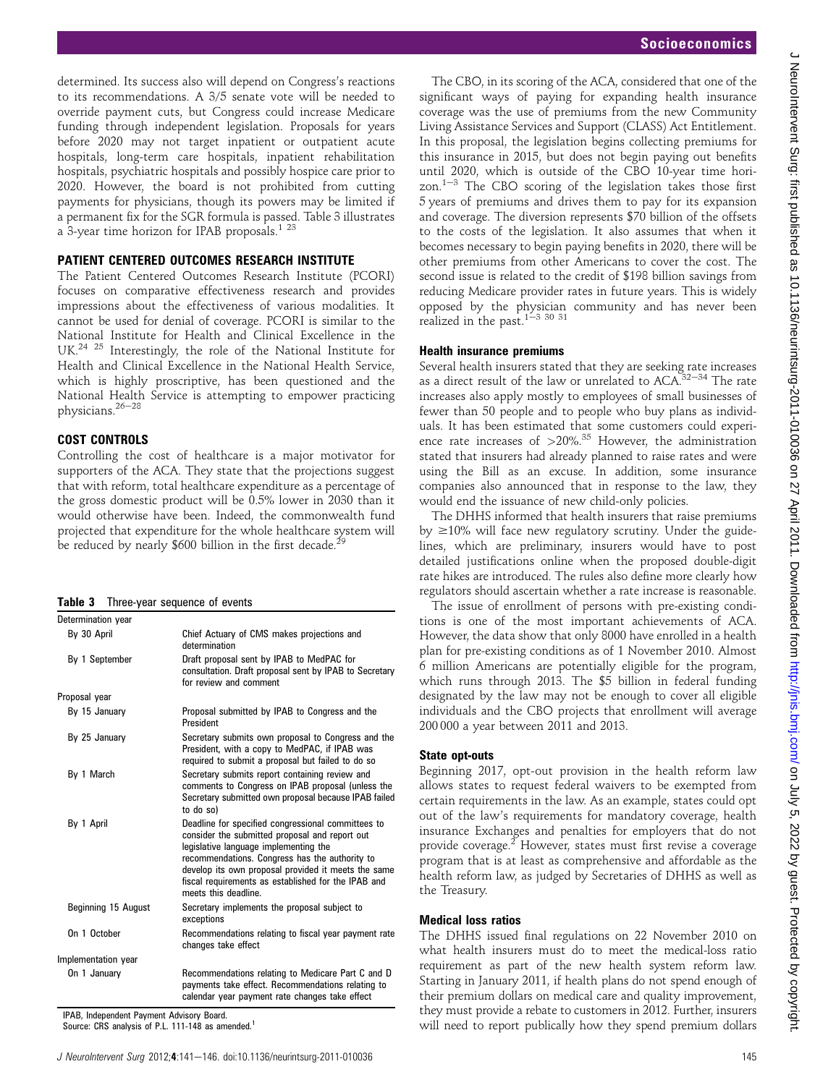determined. Its success also will depend on Congress's reactions to its recommendations. A 3/5 senate vote will be needed to override payment cuts, but Congress could increase Medicare funding through independent legislation. Proposals for years before 2020 may not target inpatient or outpatient acute hospitals, long-term care hospitals, inpatient rehabilitation hospitals, psychiatric hospitals and possibly hospice care prior to 2020. However, the board is not prohibited from cutting payments for physicians, though its powers may be limited if a permanent fix for the SGR formula is passed. Table 3 illustrates a 3-year time horizon for IPAB proposals.<sup>1 23</sup>

## PATIENT CENTERED OUTCOMES RESEARCH INSTITUTE

The Patient Centered Outcomes Research Institute (PCORI) focuses on comparative effectiveness research and provides impressions about the effectiveness of various modalities. It cannot be used for denial of coverage. PCORI is similar to the National Institute for Health and Clinical Excellence in the UK.<sup>24</sup> <sup>25</sup> Interestingly, the role of the National Institute for Health and Clinical Excellence in the National Health Service, which is highly proscriptive, has been questioned and the National Health Service is attempting to empower practicing physicians. $26-28$ 

## COST CONTROLS

Controlling the cost of healthcare is a major motivator for supporters of the ACA. They state that the projections suggest that with reform, total healthcare expenditure as a percentage of the gross domestic product will be 0.5% lower in 2030 than it would otherwise have been. Indeed, the commonwealth fund projected that expenditure for the whole healthcare system will be reduced by nearly \$600 billion in the first decade.<sup>2</sup>

|  | Table 3 Three-year sequence of events |  |  |  |
|--|---------------------------------------|--|--|--|
|--|---------------------------------------|--|--|--|

| Determination year  |                                                                                                                                                                                                                                                                                                                                       |
|---------------------|---------------------------------------------------------------------------------------------------------------------------------------------------------------------------------------------------------------------------------------------------------------------------------------------------------------------------------------|
| By 30 April         | Chief Actuary of CMS makes projections and<br>determination                                                                                                                                                                                                                                                                           |
| By 1 September      | Draft proposal sent by IPAB to MedPAC for<br>consultation. Draft proposal sent by IPAB to Secretary<br>for review and comment                                                                                                                                                                                                         |
| Proposal year       |                                                                                                                                                                                                                                                                                                                                       |
| By 15 January       | Proposal submitted by IPAB to Congress and the<br>President                                                                                                                                                                                                                                                                           |
| By 25 January       | Secretary submits own proposal to Congress and the<br>President, with a copy to MedPAC, if IPAB was<br>required to submit a proposal but failed to do so                                                                                                                                                                              |
| By 1 March          | Secretary submits report containing review and<br>comments to Congress on IPAB proposal (unless the<br>Secretary submitted own proposal because IPAB failed<br>to do so)                                                                                                                                                              |
| By 1 April          | Deadline for specified congressional committees to<br>consider the submitted proposal and report out<br>legislative language implementing the<br>recommendations. Congress has the authority to<br>develop its own proposal provided it meets the same<br>fiscal requirements as established for the IPAB and<br>meets this deadline. |
| Beginning 15 August | Secretary implements the proposal subject to<br>exceptions                                                                                                                                                                                                                                                                            |
| On 1 October        | Recommendations relating to fiscal year payment rate<br>changes take effect                                                                                                                                                                                                                                                           |
| Implementation year |                                                                                                                                                                                                                                                                                                                                       |
| On 1 January        | Recommendations relating to Medicare Part C and D<br>payments take effect. Recommendations relating to<br>calendar year payment rate changes take effect                                                                                                                                                                              |

IPAB, Independent Payment Advisory Board.

Source: CRS analysis of P.L. 111-148 as amended.<sup>1</sup>

The CBO, in its scoring of the ACA, considered that one of the significant ways of paying for expanding health insurance coverage was the use of premiums from the new Community Living Assistance Services and Support (CLASS) Act Entitlement. In this proposal, the legislation begins collecting premiums for this insurance in 2015, but does not begin paying out benefits until 2020, which is outside of the CBO 10-year time horizon. $1-3$  The CBO scoring of the legislation takes those first 5 years of premiums and drives them to pay for its expansion and coverage. The diversion represents \$70 billion of the offsets to the costs of the legislation. It also assumes that when it becomes necessary to begin paying benefits in 2020, there will be other premiums from other Americans to cover the cost. The second issue is related to the credit of \$198 billion savings from reducing Medicare provider rates in future years. This is widely opposed by the physician community and has never been realized in the past.<sup>1-3 30 31</sup>

## Health insurance premiums

Several health insurers stated that they are seeking rate increases as a direct result of the law or unrelated to ACA. $32-34$  The rate increases also apply mostly to employees of small businesses of fewer than 50 people and to people who buy plans as individuals. It has been estimated that some customers could experience rate increases of  $>20\%$ <sup>35</sup> However, the administration stated that insurers had already planned to raise rates and were using the Bill as an excuse. In addition, some insurance companies also announced that in response to the law, they would end the issuance of new child-only policies.

The DHHS informed that health insurers that raise premiums by  $\geq$ 10% will face new regulatory scrutiny. Under the guidelines, which are preliminary, insurers would have to post detailed justifications online when the proposed double-digit rate hikes are introduced. The rules also define more clearly how regulators should ascertain whether a rate increase is reasonable.

The issue of enrollment of persons with pre-existing conditions is one of the most important achievements of ACA. However, the data show that only 8000 have enrolled in a health plan for pre-existing conditions as of 1 November 2010. Almost 6 million Americans are potentially eligible for the program, which runs through 2013. The \$5 billion in federal funding designated by the law may not be enough to cover all eligible individuals and the CBO projects that enrollment will average 200 000 a year between 2011 and 2013.

## State opt-outs

Beginning 2017, opt-out provision in the health reform law allows states to request federal waivers to be exempted from certain requirements in the law. As an example, states could opt out of the law's requirements for mandatory coverage, health insurance Exchanges and penalties for employers that do not provide coverage.2 However, states must first revise a coverage program that is at least as comprehensive and affordable as the health reform law, as judged by Secretaries of DHHS as well as the Treasury.

## Medical loss ratios

The DHHS issued final regulations on 22 November 2010 on what health insurers must do to meet the medical-loss ratio requirement as part of the new health system reform law. Starting in January 2011, if health plans do not spend enough of their premium dollars on medical care and quality improvement, they must provide a rebate to customers in 2012. Further, insurers will need to report publically how they spend premium dollars